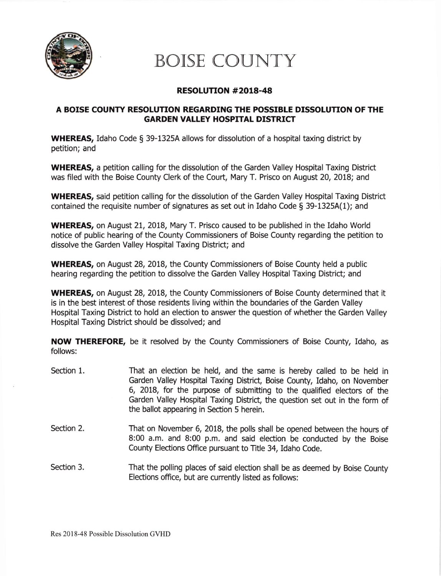

# BOISE COUNTY

## RESOLUTTON #2018-48

## A BOISE COUNTY RESOLUTION REGARDING THE POSSIBLE DTSSOLUTION OF THE **GARDEN VALLEY HOSPITAL DISTRICT**

WHEREAS, Idaho Code § 39-1325A allows for dissolution of a hospital taxing district by petition; and

WHEREAS, a petition calling for the dissolution of the Garden Valley Hospital Taxing District was filed with the Boise County Clerk of the Court, Mary T. Prisco on August 20, 2018; and

WHEREAS, said petition calling for the dissolution of the Garden Valley Hospital Taxing District contained the requisite number of signatures as set out in Idaho Code  $\S$  39-1325A(1); and

WHEREAS, on August 21, 2018, Mary T. Prisco caused to be published in the Idaho World notice of public hearing of the County Commissioners of Boise County regarding the petition to dissolve the Garden Valley Hospital Taxing District; and

WHEREAS, on August 28, 2018, the County Commissioners of Boise County held a public hearing regarding the petition to dissolve the Garden Valley Hospital Taxing District; and

WHEREAS, on August 28, 2018, the County Commissioners of Boise County determined that it is in the best interest of those residents living within the boundaries of the Garden Valley Hospital Taxing District to hold an election to answer the question of whether the Garden Valley Hospital Taxing District should be dissolved; and

NOW THEREFORE, be it resolved by the County Commissioners of Boise County, Idaho, as follows:

- Section 1. That an election be held, and the same is hereby called to be held in Garden Valley Hospital Taxing District, Boise County, Idaho, on November 6, 2018, for the purpose of submitting to the qualified electors of the Garden Valley Hospital Taxing District, the question set out in the form of the ballot appearing in Section 5 herein.
- Section 2. That on November 6, 2018, the polls shall be opened between the hours of 8:00 a.m. and B:00 p.m. and said election be conducted by the Boise County Elections Office pursuant to Title 34, Idaho Code.

Section 3. That the polling places of said election shall be as deemed by Boise County Elections office, but are currently listed as follows: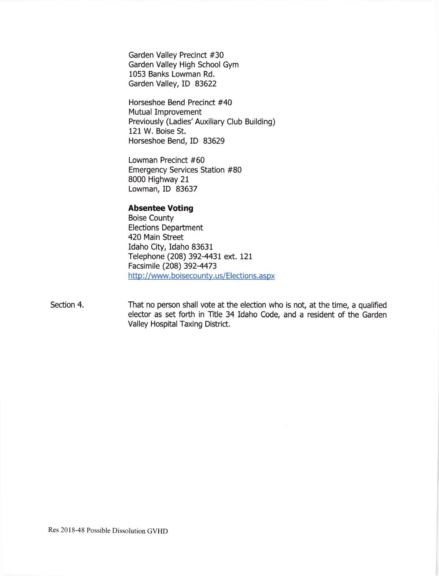Garden Valley Precinct #30 Garden Valley High School Gym 1053 Banks Lowman Rd. Garden Valley, ID 83622

Horseshoe Bend Precinct #40 Mutual Improvement Previously (Ladies' Auxiliary Club Building) 121 W. Boise St. Horseshoe Bend, ID 83629

Lowman Precinct #60 Emergency Services Station #80 8000 Highway 21 Lowman, ID 83637

#### Absentee Voting

Boise County Elections Department 420 Main Street Idaho City, Idaho 83631 Telephone (208) 392-4431 ext. 121 Facsimile (208) 392-4473 http://www.boisecounty.us/Elections.aspx

That no person shall vote at the election who is not, at the time, a qualified elector as set forth in Title 34 Idaho Code, and a resident of the Garden Valley Hospital Taxing District. Section 4.